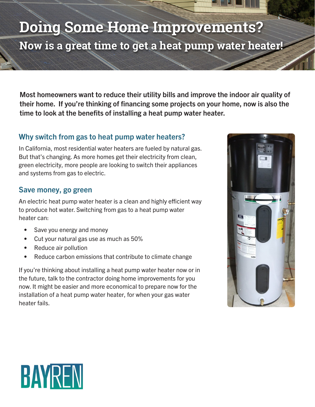# **Now is a great time to get a heat pump water heater! Doing Some Home Improvements?**

Most homeowners want to reduce their utility bills and improve the indoor air quality of their home. If you're thinking of financing some projects on your home, now is also the time to look at the benefits of installing a heat pump water heater.

## Why switch from gas to heat pump water heaters?

In California, most residential water heaters are fueled by natural gas. But that's changing. As more homes get their electricity from clean, green electricity, more people are looking to switch their appliances and systems from gas to electric.

#### Save money, go green

An electric heat pump water heater is a clean and highly efficient way to produce hot water. Switching from gas to a heat pump water heater can:

- Save you energy and money
- Cut your natural gas use as much as 50%
- Reduce air pollution
- Reduce carbon emissions that contribute to climate change

If you're thinking about installing a heat pump water heater now or in the future, talk to the contractor doing home improvements for you now. It might be easier and more economical to prepare now for the installation of a heat pump water heater, for when your gas water heater fails.